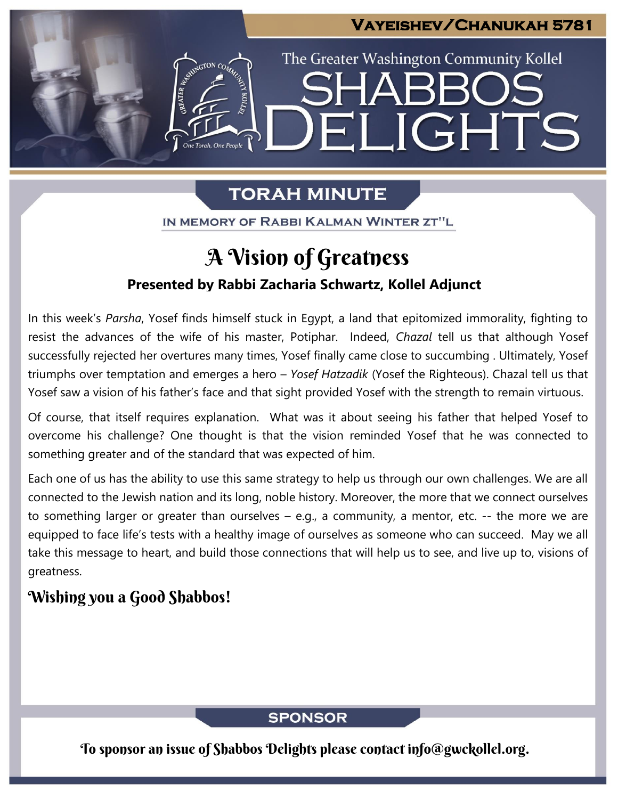## **Vayeishev/Chanukah 5781**

**JGHTS** 

The Greater Washington Community Kollel

# **TORAH MINUTE**

H

IN MEMORY OF RABBI KALMAN WINTER ZT"L

# A Vision of Greatness

## **Presented by Rabbi Zacharia Schwartz, Kollel Adjunct**

In this week's *Parsha*, Yosef finds himself stuck in Egypt, a land that epitomized immorality, fighting to resist the advances of the wife of his master, Potiphar. Indeed, *Chazal* tell us that although Yosef successfully rejected her overtures many times, Yosef finally came close to succumbing . Ultimately, Yosef triumphs over temptation and emerges a hero – *Yosef Hatzadik* (Yosef the Righteous). Chazal tell us that Yosef saw a vision of his father's face and that sight provided Yosef with the strength to remain virtuous.

Of course, that itself requires explanation. What was it about seeing his father that helped Yosef to overcome his challenge? One thought is that the vision reminded Yosef that he was connected to something greater and of the standard that was expected of him.

Each one of us has the ability to use this same strategy to help us through our own challenges. We are all connected to the Jewish nation and its long, noble history. Moreover, the more that we connect ourselves to something larger or greater than ourselves – e.g., a community, a mentor, etc. -- the more we are equipped to face life's tests with a healthy image of ourselves as someone who can succeed. May we all take this message to heart, and build those connections that will help us to see, and live up to, visions of greatness.

# Wishing you a Good Shabbos!

## **SPONSOR**

To sponsor an issue of Shabbos Delights please contact info@gwckollel.org.